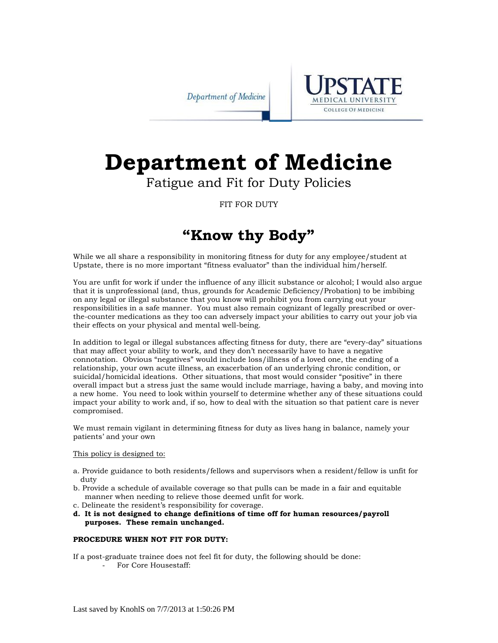Department of Medicine



# **Department of Medicine**

### Fatigue and Fit for Duty Policies

FIT FOR DUTY

## **"Know thy Body"**

While we all share a responsibility in monitoring fitness for duty for any employee/student at Upstate, there is no more important "fitness evaluator" than the individual him/herself.

You are unfit for work if under the influence of any illicit substance or alcohol; I would also argue that it is unprofessional (and, thus, grounds for Academic Deficiency/Probation) to be imbibing on any legal or illegal substance that you know will prohibit you from carrying out your responsibilities in a safe manner. You must also remain cognizant of legally prescribed or overthe-counter medications as they too can adversely impact your abilities to carry out your job via their effects on your physical and mental well-being.

In addition to legal or illegal substances affecting fitness for duty, there are "every-day" situations that may affect your ability to work, and they don't necessarily have to have a negative connotation. Obvious "negatives" would include loss/illness of a loved one, the ending of a relationship, your own acute illness, an exacerbation of an underlying chronic condition, or suicidal/homicidal ideations. Other situations, that most would consider "positive" in there overall impact but a stress just the same would include marriage, having a baby, and moving into a new home. You need to look within yourself to determine whether any of these situations could impact your ability to work and, if so, how to deal with the situation so that patient care is never compromised.

We must remain vigilant in determining fitness for duty as lives hang in balance, namely your patients' and your own

#### This policy is designed to:

- a. Provide guidance to both residents/fellows and supervisors when a resident/fellow is unfit for duty
- b. Provide a schedule of available coverage so that pulls can be made in a fair and equitable manner when needing to relieve those deemed unfit for work.
- c. Delineate the resident's responsibility for coverage.
- **d. It is not designed to change definitions of time off for human resources/payroll purposes. These remain unchanged.**

#### **PROCEDURE WHEN NOT FIT FOR DUTY:**

If a post-graduate trainee does not feel fit for duty, the following should be done:

- For Core Housestaff: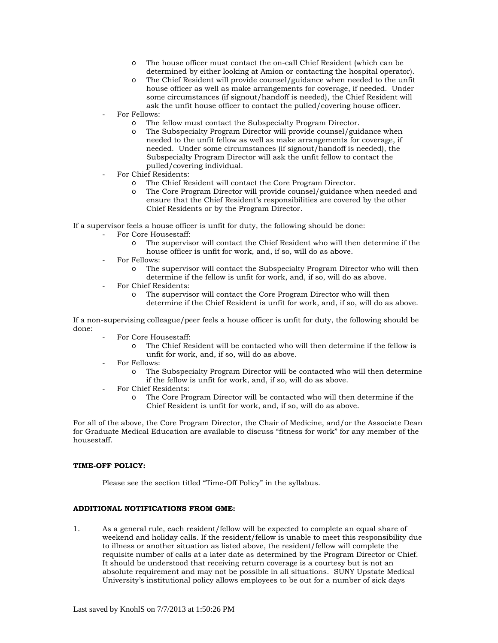- o The house officer must contact the on-call Chief Resident (which can be determined by either looking at Amion or contacting the hospital operator).
- o The Chief Resident will provide counsel/guidance when needed to the unfit house officer as well as make arrangements for coverage, if needed. Under some circumstances (if signout/handoff is needed), the Chief Resident will ask the unfit house officer to contact the pulled/covering house officer.
- For Fellows:
	- o The fellow must contact the Subspecialty Program Director.
	- o The Subspecialty Program Director will provide counsel/guidance when needed to the unfit fellow as well as make arrangements for coverage, if needed. Under some circumstances (if signout/handoff is needed), the Subspecialty Program Director will ask the unfit fellow to contact the pulled/covering individual.
- For Chief Residents:
	- o The Chief Resident will contact the Core Program Director.
	- o The Core Program Director will provide counsel/guidance when needed and ensure that the Chief Resident's responsibilities are covered by the other Chief Residents or by the Program Director.

If a supervisor feels a house officer is unfit for duty, the following should be done:

- For Core Housestaff:
	- o The supervisor will contact the Chief Resident who will then determine if the house officer is unfit for work, and, if so, will do as above.
- For Fellows:
	- o The supervisor will contact the Subspecialty Program Director who will then determine if the fellow is unfit for work, and, if so, will do as above.
- For Chief Residents:
	- o The supervisor will contact the Core Program Director who will then determine if the Chief Resident is unfit for work, and, if so, will do as above.

If a non-supervising colleague/peer feels a house officer is unfit for duty, the following should be done:

- For Core Housestaff:
	- o The Chief Resident will be contacted who will then determine if the fellow is unfit for work, and, if so, will do as above.
- For Fellows:
	- o The Subspecialty Program Director will be contacted who will then determine if the fellow is unfit for work, and, if so, will do as above.
- For Chief Residents:
	- o The Core Program Director will be contacted who will then determine if the Chief Resident is unfit for work, and, if so, will do as above.

For all of the above, the Core Program Director, the Chair of Medicine, and/or the Associate Dean for Graduate Medical Education are available to discuss "fitness for work" for any member of the housestaff.

#### **TIME-OFF POLICY:**

Please see the section titled "Time-Off Policy" in the syllabus.

#### **ADDITIONAL NOTIFICATIONS FROM GME:**

1. As a general rule, each resident/fellow will be expected to complete an equal share of weekend and holiday calls. If the resident/fellow is unable to meet this responsibility due to illness or another situation as listed above, the resident/fellow will complete the requisite number of calls at a later date as determined by the Program Director or Chief. It should be understood that receiving return coverage is a courtesy but is not an absolute requirement and may not be possible in all situations. SUNY Upstate Medical University's institutional policy allows employees to be out for a number of sick days